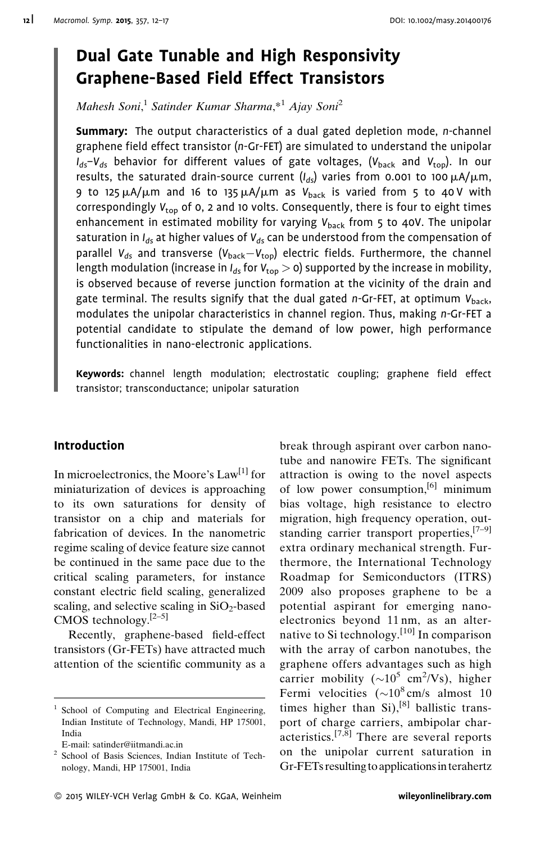# Dual Gate Tunable and High Responsivity Graphene-Based Field Effect Transistors

Mahesh Soni,<sup>1</sup> Satinder Kumar Sharma,\*<sup>1</sup> Ajay Soni<sup>2</sup>

Summary: The output characteristics of a dual gated depletion mode, n-channel graphene field effect transistor (n-Gr-FET) are simulated to understand the unipolar  $I_{ds}-V_{ds}$  behavior for different values of gate voltages, (V<sub>back</sub> and V<sub>top</sub>). In our results, the saturated drain-source current  $(I_{dd})$  varies from 0.001 to 100  $\mu$ A/ $\mu$ m, 9 to 125  $\mu$ A/ $\mu$ m and 16 to 135  $\mu$ A/ $\mu$ m as V<sub>back</sub> is varied from 5 to 40 V with correspondingly  $V_{\text{top}}$  of 0, 2 and 10 volts. Consequently, there is four to eight times enhancement in estimated mobility for varying  $V_{back}$  from 5 to 40V. The unipolar saturation in  $I_{ds}$  at higher values of  $V_{ds}$  can be understood from the compensation of parallel  $V_{ds}$  and transverse ( $V_{back}-V_{top}$ ) electric fields. Furthermore, the channel length modulation (increase in  $I_{ds}$  for  $V_{\text{top}} > 0$ ) supported by the increase in mobility, is observed because of reverse junction formation at the vicinity of the drain and gate terminal. The results signify that the dual gated  $n$ -Gr-FET, at optimum  $V_{back}$ , modulates the unipolar characteristics in channel region. Thus, making n-Gr-FET a potential candidate to stipulate the demand of low power, high performance functionalities in nano-electronic applications.

Keywords: channel length modulation; electrostatic coupling; graphene field effect transistor; transconductance; unipolar saturation

# Introduction

In microelectronics, the Moore's  $Law<sup>[1]</sup>$  for miniaturization of devices is approaching to its own saturations for density of transistor on a chip and materials for fabrication of devices. In the nanometric regime scaling of device feature size cannot be continued in the same pace due to the critical scaling parameters, for instance constant electric field scaling, generalized scaling, and selective scaling in  $SiO<sub>2</sub>$ -based CMOS technology.[2–5]

Recently, graphene-based field-effect transistors (Gr-FETs) have attracted much attention of the scientific community as a break through aspirant over carbon nanotube and nanowire FETs. The significant attraction is owing to the novel aspects of low power consumption,<sup>[6]</sup> minimum bias voltage, high resistance to electro migration, high frequency operation, outstanding carrier transport properties, $[7-9]$ extra ordinary mechanical strength. Furthermore, the International Technology Roadmap for Semiconductors (ITRS) 2009 also proposes graphene to be a potential aspirant for emerging nanoelectronics beyond 11 nm, as an alternative to Si technology.<sup>[10]</sup> In comparison with the array of carbon nanotubes, the graphene offers advantages such as high carrier mobility ( ${\sim}10^5$  cm<sup>2</sup>/Vs), higher Fermi velocities  $({\sim}10^8 \text{ cm/s}$  almost 10 times higher than  $Si$ ),<sup>[8]</sup> ballistic transport of charge carriers, ambipolar char- $\arct{a}$  acteristics.<sup>[7, $\bar{8}$ ]</sup> There are several reports on the unipolar current saturation in Gr-FETs resulting to applicationsin terahertz

<sup>&</sup>lt;sup>1</sup> School of Computing and Electrical Engineering, Indian Institute of Technology, Mandi, HP 175001, India

E-mail: satinder@iitmandi.ac.in

<sup>2</sup> School of Basis Sciences, Indian Institute of Technology, Mandi, HP 175001, India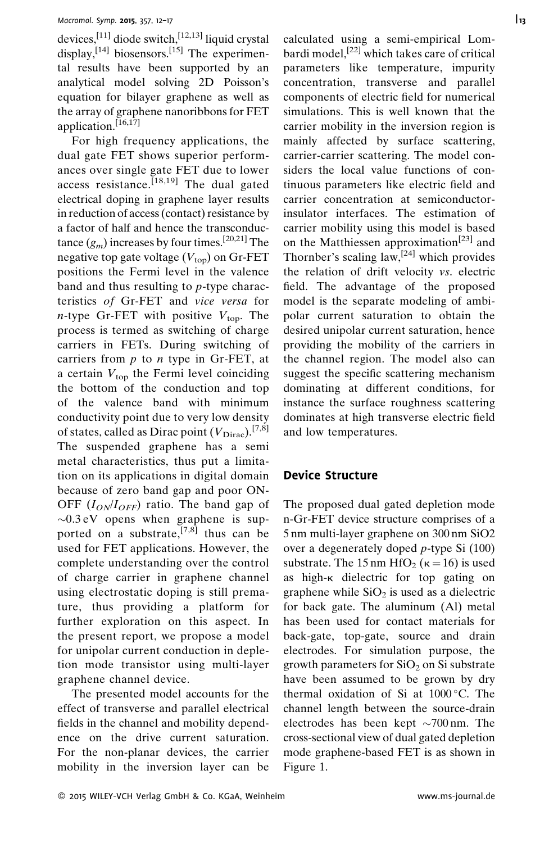devices,[11] diode switch,[12,13] liquid crystal display,  $[14]$  biosensors.<sup>[15]</sup> The experimental results have been supported by an analytical model solving 2D Poisson's equation for bilayer graphene as well as the array of graphene nanoribbons for FET application.<sup>[16,17]</sup>

For high frequency applications, the dual gate FET shows superior performances over single gate FET due to lower access resistance.<sup>[18,19]</sup> The dual gated electrical doping in graphene layer results in reduction of access (contact) resistance by a factor of half and hence the transconductance  $(g_m)$  increases by four times.<sup>[20,21]</sup> The negative top gate voltage  $(V_{\text{top}})$  on Gr-FET positions the Fermi level in the valence band and thus resulting to p-type characteristics of Gr-FET and vice versa for *n*-type Gr-FET with positive  $V_{\text{top}}$ . The process is termed as switching of charge carriers in FETs. During switching of carriers from  $p$  to  $n$  type in Gr-FET, at a certain  $V_{top}$  the Fermi level coinciding the bottom of the conduction and top of the valence band with minimum conductivity point due to very low density of states, called as Dirac point  $(V_{\text{Dirac}})$ .<sup>[7,8]</sup> The suspended graphene has a semi metal characteristics, thus put a limitation on its applications in digital domain because of zero band gap and poor ON-OFF  $(I_{ON}/I_{OFF})$  ratio. The band gap of  $\sim 0.3 \text{ eV}$  opens when graphene is supported on a substrate,  $[7,8]$  thus can be used for FET applications. However, the complete understanding over the control of charge carrier in graphene channel using electrostatic doping is still premature, thus providing a platform for further exploration on this aspect. In the present report, we propose a model for unipolar current conduction in depletion mode transistor using multi-layer graphene channel device.

The presented model accounts for the effect of transverse and parallel electrical fields in the channel and mobility dependence on the drive current saturation. For the non-planar devices, the carrier mobility in the inversion layer can be calculated using a semi-empirical Lombardi model,<sup>[22]</sup> which takes care of critical parameters like temperature, impurity concentration, transverse and parallel components of electric field for numerical simulations. This is well known that the carrier mobility in the inversion region is mainly affected by surface scattering, carrier-carrier scattering. The model considers the local value functions of continuous parameters like electric field and carrier concentration at semiconductorinsulator interfaces. The estimation of carrier mobility using this model is based

on the Matthiessen approximation<sup>[23]</sup> and Thornber's scaling law,  $[24]$  which provides the relation of drift velocity vs. electric field. The advantage of the proposed model is the separate modeling of ambipolar current saturation to obtain the desired unipolar current saturation, hence providing the mobility of the carriers in the channel region. The model also can suggest the specific scattering mechanism dominating at different conditions, for instance the surface roughness scattering dominates at high transverse electric field and low temperatures.

### Device Structure

The proposed dual gated depletion mode n-Gr-FET device structure comprises of a 5 nm multi-layer graphene on 300 nm SiO2 over a degenerately doped p-type Si (100) substrate. The 15 nm HfO<sub>2</sub> ( $\kappa$  = 16) is used as high-k dielectric for top gating on graphene while  $SiO<sub>2</sub>$  is used as a dielectric for back gate. The aluminum (Al) metal has been used for contact materials for back-gate, top-gate, source and drain electrodes. For simulation purpose, the growth parameters for  $SiO<sub>2</sub>$  on Si substrate have been assumed to be grown by dry thermal oxidation of Si at  $1000^{\circ}$ C. The channel length between the source-drain electrodes has been kept  $\sim$ 700 nm. The cross-sectional view of dual gated depletion mode graphene-based FET is as shown in Figure 1.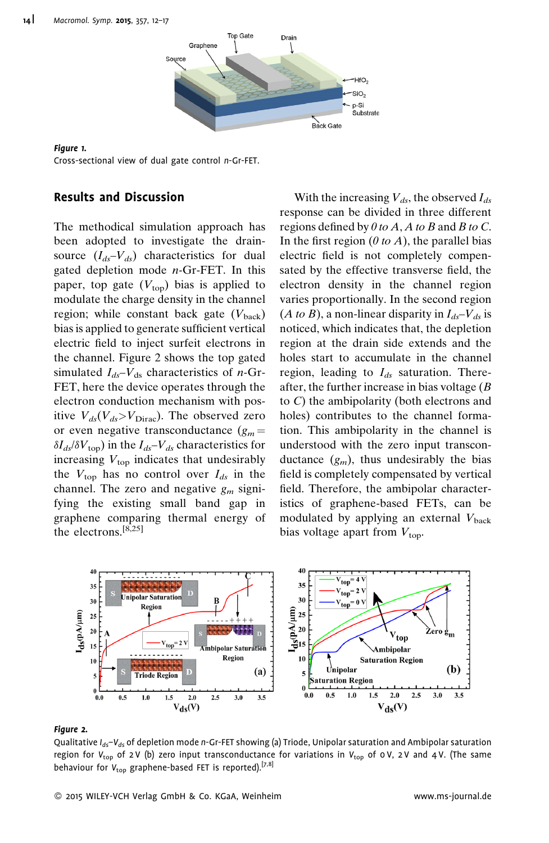

Figure 1. Cross-sectional view of dual gate control n-Gr-FET.

## Results and Discussion

The methodical simulation approach has been adopted to investigate the drainsource  $(I_{ds}-V_{ds})$  characteristics for dual gated depletion mode  $n$ -Gr-FET. In this paper, top gate  $(V_{\text{top}})$  bias is applied to modulate the charge density in the channel region; while constant back gate  $(V_{\text{back}})$ bias is applied to generate sufficient vertical electric field to inject surfeit electrons in the channel. Figure 2 shows the top gated simulated  $I_{ds}$ – $V_{ds}$  characteristics of *n*-Gr-FET, here the device operates through the electron conduction mechanism with positive  $V_{ds}(V_{ds} > V_{Dirac})$ . The observed zero or even negative transconductance  $(g_m =$  $\delta I_{ds}/\delta V_{\text{top}}$ ) in the  $I_{ds}-V_{ds}$  characteristics for increasing  $V_{\text{top}}$  indicates that undesirably the  $V_{\text{top}}$  has no control over  $I_{ds}$  in the channel. The zero and negative  $g_m$  signifying the existing small band gap in graphene comparing thermal energy of the electrons.[8,25]

With the increasing  $V_{ds}$ , the observed  $I_{ds}$ response can be divided in three different regions defined by  $0$  to  $A$ ,  $A$  to  $B$  and  $B$  to  $C$ . In the first region  $(0 to A)$ , the parallel bias electric field is not completely compensated by the effective transverse field, the electron density in the channel region varies proportionally. In the second region (*A to B*), a non-linear disparity in  $I_{ds}$ – $V_{ds}$  is noticed, which indicates that, the depletion region at the drain side extends and the holes start to accumulate in the channel region, leading to  $I_{ds}$  saturation. Thereafter, the further increase in bias voltage  $(B)$ to C) the ambipolarity (both electrons and holes) contributes to the channel formation. This ambipolarity in the channel is understood with the zero input transconductance  $(g_m)$ , thus undesirably the bias field is completely compensated by vertical field. Therefore, the ambipolar characteristics of graphene-based FETs, can be modulated by applying an external  $V_{\text{back}}$ bias voltage apart from  $V_{\text{top}}$ .



سی<br>Qualitative I<sub>ds</sub>–V<sub>ds</sub> of depletion mode n-Gr-FET showing (a) Triode, Unipolar saturation and Ambipolar saturation region for  $V_{\text{top}}$  of 2 V (b) zero input transconductance for variations in  $V_{\text{top}}$  of 0 V, 2 V and 4 V. (The same behaviour for  $V_{\text{top}}$  graphene-based FET is reported).<sup>[7,8]</sup>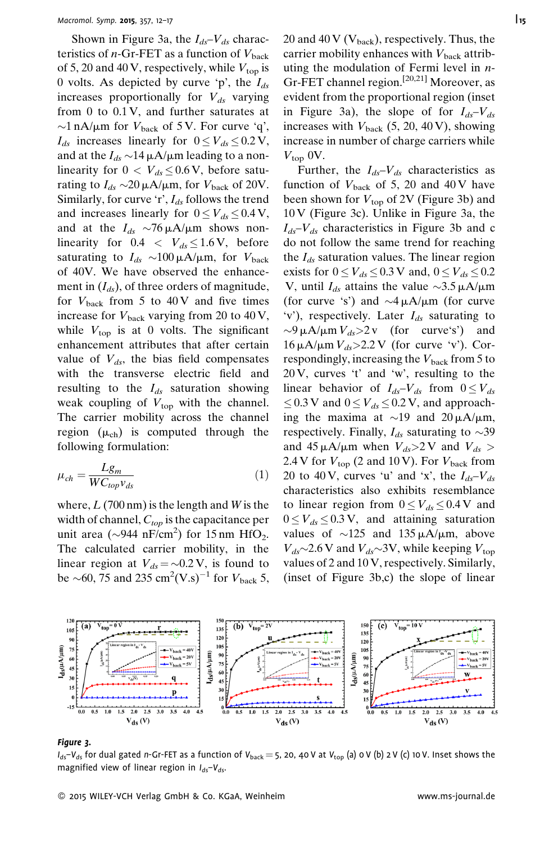Shown in Figure 3a, the  $I_{ds}-V_{ds}$  characteristics of *n*-Gr-FET as a function of  $V_{\text{back}}$ of 5, 20 and 40 V, respectively, while  $V_{top}$  is 0 volts. As depicted by curve 'p', the  $I_{ds}$ increases proportionally for  $V_{ds}$  varying from 0 to 0.1 V, and further saturates at  $\sim$ 1 nA/ $\mu$ m for  $V_{\text{back}}$  of 5 V. For curve 'q',  $I_{ds}$  increases linearly for  $0 \leq V_{ds} \leq 0.2 \text{ V}$ , and at the  $I_{ds} \sim 14 \mu A/\mu m$  leading to a nonlinearity for  $0 < V_{ds} \leq 0.6 \text{ V}$ , before saturating to  $I_{ds} \sim 20 \mu A/\mu m$ , for  $V_{\text{back}}$  of 20V. Similarly, for curve 'r',  $I_{ds}$  follows the trend and increases linearly for  $0 \leq V_{ds} \leq 0.4$  V, and at the  $I_{ds} \sim 76 \mu A/\mu m$  shows nonlinearity for  $0.4 < V_{ds} \le 1.6 \text{ V}$ , before saturating to  $I_{ds} \sim 100 \mu A/\mu m$ , for  $V_{\text{back}}$ of 40V. We have observed the enhancement in  $(I_{ds})$ , of three orders of magnitude, for  $V_{\text{back}}$  from 5 to 40 V and five times increase for  $V_{\text{back}}$  varying from 20 to 40 V, while  $V_{\text{top}}$  is at 0 volts. The significant enhancement attributes that after certain value of  $V_{ds}$ , the bias field compensates with the transverse electric field and resulting to the  $I_{ds}$  saturation showing weak coupling of  $V_{top}$  with the channel. The carrier mobility across the channel region  $(\mu_{ch})$  is computed through the following formulation:

$$
\mu_{ch} = \frac{Lg_m}{WC_{top}v_{ds}}\tag{1}
$$

where,  $L(700 \text{ nm})$  is the length and W is the width of channel,  $C_{top}$  is the capacitance per unit area ( $\sim$ 944 nF/cm<sup>2</sup>) for 15 nm HfO<sub>2</sub>. The calculated carrier mobility, in the linear region at  $V_{ds} = \sim 0.2 \text{ V}$ , is found to be  $\sim$  60, 75 and 235 cm<sup>2</sup>(V.s)<sup>-1</sup> for  $V_{\text{back}}$  5,

20 and 40 V ( $V_{\text{back}}$ ), respectively. Thus, the carrier mobility enhances with  $V_{\text{back}}$  attributing the modulation of Fermi level in n-Gr-FET channel region.<sup>[20,21]</sup> Moreover, as evident from the proportional region (inset in Figure 3a), the slope of for  $I_{ds}-V_{ds}$ increases with  $V_{\text{back}}$  (5, 20, 40 V), showing increase in number of charge carriers while  $V_{\text{top}}$  0V.

Further, the  $I_{ds}-V_{ds}$  characteristics as function of  $V_{\text{back}}$  of 5, 20 and 40 V have been shown for  $V_{\text{top}}$  of 2V (Figure 3b) and 10 V (Figure 3c). Unlike in Figure 3a, the  $I_{ds}-V_{ds}$  characteristics in Figure 3b and c do not follow the same trend for reaching the  $I_{ds}$  saturation values. The linear region exists for  $0 \leq V_{ds} \leq 0.3$  V and,  $0 \leq V_{ds} \leq 0.2$ V, until  $I_{ds}$  attains the value  $\sim$ 3.5  $\mu$ A/ $\mu$ m (for curve 's') and  $\sim$ 4  $\mu$ A/ $\mu$ m (for curve 'v'), respectively. Later  $I_{ds}$  saturating to  $\sim$ 9  $\mu$ A/ $\mu$ m  $V_{ds}$ >2 v (for curve's') and  $16 \mu A/\mu m V_{ds} > 2.2 V$  (for curve 'v'). Correspondingly, increasing the  $V_{\text{back}}$  from 5 to 20 V, curves 't' and 'w', resulting to the linear behavior of  $I_{ds}-V_{ds}$  from  $0 \leq V_{ds}$  $\leq$  0.3 V and  $0 \leq V_{ds} \leq 0.2$  V, and approaching the maxima at  $\sim$ 19 and 20  $\mu$ A/ $\mu$ m, respectively. Finally,  $I_{ds}$  saturating to  $\sim$ 39 and 45  $\mu$ A/ $\mu$ m when  $V_{ds}$  > 2 V and  $V_{ds}$  > 2.4 V for  $V_{\text{top}}$  (2 and 10 V). For  $V_{\text{back}}$  from 20 to 40 V, curves 'u' and 'x', the  $I_{ds}-V_{ds}$ characteristics also exhibits resemblance to linear region from  $0 \leq V_{ds} \leq 0.4$  V and  $0 \leq V_{ds} \leq 0.3 \text{ V}$ , and attaining saturation values of  $\sim$ 125 and 135  $\mu$ A/ $\mu$ m, above  $V_{ds}$ ~2.6 V and  $V_{ds}$ ~3V, while keeping  $V_{top}$ values of 2 and 10 V, respectively. Similarly, (inset of Figure 3b,c) the slope of linear



### Figure 3.

 $I_{ds}-V_{ds}$  for dual gated n-Gr-FET as a function of V $_{\text{back}}=$  5, 20, 40 V at V $_{\text{top}}$  (a) 0 V (b) 2 V (c) 10 V. Inset shows the magnified view of linear region in  $I_{ds}-V_{ds}$ .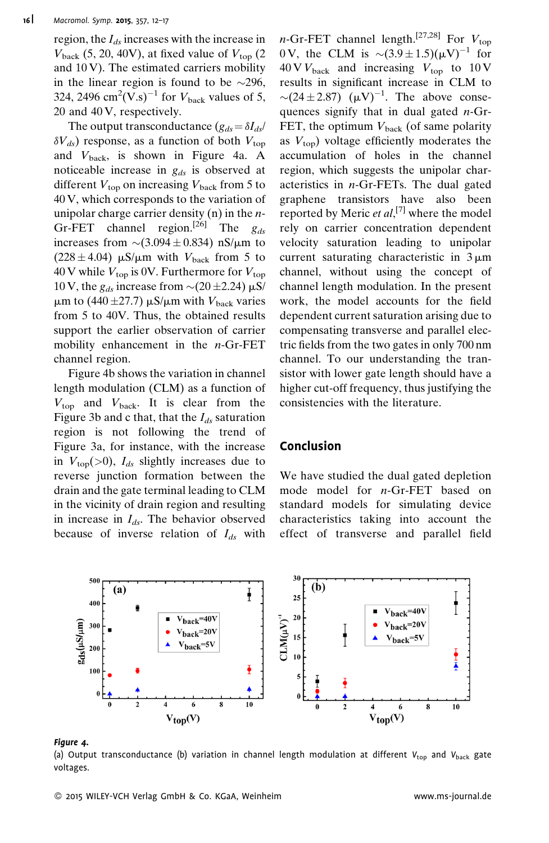region, the  $I_{ds}$  increases with the increase in  $V_{\text{back}}$  (5, 20, 40V), at fixed value of  $V_{\text{top}}$  (2 and  $10$  V). The estimated carriers mobility in the linear region is found to be  $\sim$ 296, 324, 2496  $\text{cm}^2(\text{V.s})^{-1}$  for  $V_{\text{back}}$  values of 5, 20 and 40 V, respectively.

The output transconductance  $(g_{ds} = \delta I_{ds})$  $\delta V_{ds}$ ) response, as a function of both  $V_{\text{top}}$ and  $V_{\text{back}}$ , is shown in Figure 4a. A noticeable increase in  $g_{ds}$  is observed at different  $V_{\text{top}}$  on increasing  $V_{\text{back}}$  from 5 to 40 V, which corresponds to the variation of unipolar charge carrier density  $(n)$  in the *n*-Gr-FET channel region.<sup>[26]</sup> The  $g_{ds}$ increases from  $\sim$  (3.094  $\pm$  0.834) nS/ $\mu$ m to  $(228 \pm 4.04)$  µS/µm with  $V_{\text{back}}$  from 5 to 40 V while  $V_{\text{top}}$  is 0V. Furthermore for  $V_{\text{top}}$ 10 V, the  $g_{ds}$  increase from  $\sim$  (20 ± 2.24)  $\mu$ S/  $\mu$ m to (440 ± 27.7)  $\mu$ S/ $\mu$ m with  $V_{\text{back}}$  varies from 5 to 40V. Thus, the obtained results support the earlier observation of carrier mobility enhancement in the  $n$ -Gr-FET channel region.

Figure 4b shows the variation in channel length modulation (CLM) as a function of  $V_{\text{top}}$  and  $V_{\text{back}}$ . It is clear from the Figure 3b and c that, that the  $I_{ds}$  saturation region is not following the trend of Figure 3a, for instance, with the increase in  $V_{top}$ (>0),  $I_{ds}$  slightly increases due to reverse junction formation between the drain and the gate terminal leading to CLM in the vicinity of drain region and resulting in increase in  $I_{ds}$ . The behavior observed because of inverse relation of  $I_{ds}$  with n-Gr-FET channel length.<sup>[27,28]</sup> For  $V_{\text{top}}$ 0 V, the CLM is  $\sim (3.9 \pm 1.5)(\mu V)^{-1}$  for  $40 \text{ V}$ <sub>back</sub> and increasing  $V_{\text{top}}$  to  $10 \text{ V}$ results in significant increase in CLM to  $\sim$ (24 ± 2.87) ( $\mu$ V)<sup>-1</sup>. The above consequences signify that in dual gated n-Gr-FET, the optimum  $V_{\text{back}}$  (of same polarity as  $V_{\text{top}}$ ) voltage efficiently moderates the accumulation of holes in the channel region, which suggests the unipolar characteristics in n-Gr-FETs. The dual gated graphene transistors have also been reported by Meric et  $al$ ,<sup>[7]</sup> where the model rely on carrier concentration dependent velocity saturation leading to unipolar current saturating characteristic in  $3 \mu m$ channel, without using the concept of channel length modulation. In the present work, the model accounts for the field dependent current saturation arising due to compensating transverse and parallel electric fields from the two gates in only 700 nm channel. To our understanding the transistor with lower gate length should have a higher cut-off frequency, thus justifying the consistencies with the literature.

### Conclusion

We have studied the dual gated depletion mode model for n-Gr-FET based on standard models for simulating device characteristics taking into account the effect of transverse and parallel field



### Figure 4.

(a) Output transconductance (b) variation in channel length modulation at different  $V_{\text{top}}$  and  $V_{\text{back}}$  gate voltages.